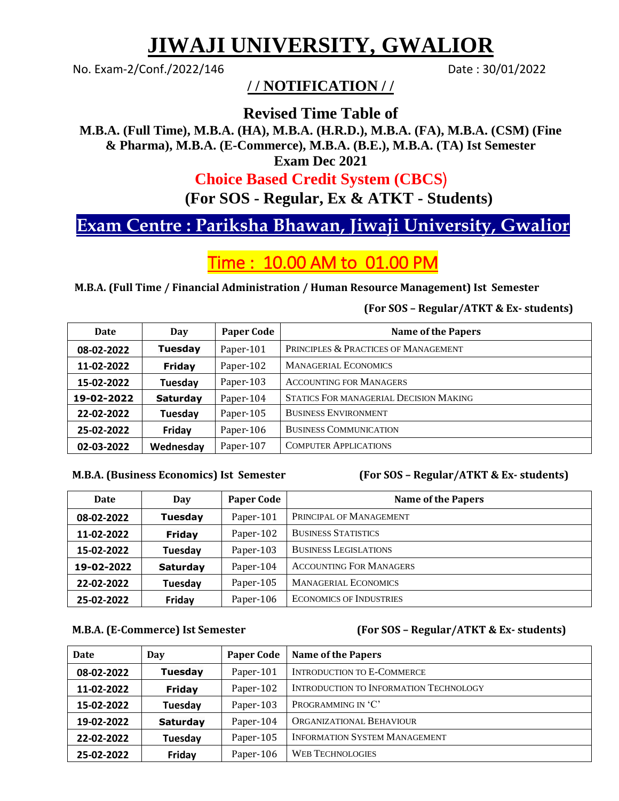# **JIWAJI UNIVERSITY, GWALIOR**

No. Exam-2/Conf./2022/146 Date: 30/01/2022

## **/ / NOTIFICATION / /**

**Revised Time Table of**

**M.B.A. (Full Time), M.B.A. (HA), M.B.A. (H.R.D.), M.B.A. (FA), M.B.A. (CSM) (Fine & Pharma), M.B.A. (E-Commerce), M.B.A. (B.E.), M.B.A. (TA) Ist Semester Exam Dec 2021** 

## **Choice Based Credit System (CBCS**½

**(For SOS - Regular, Ex & ATKT - Students)**

## **Exam Centre : Pariksha Bhawan, Jiwaji University, Gwalior**

## Time : 10.00 AM to 01.00 PM

**M.B.A. (Full Time / Financial Administration / Human Resource Management) Ist Semester** 

### **(For SOS – Regular/ATKT & Ex- students)**

| <b>Date</b> | Day             | <b>Paper Code</b> | <b>Name of the Papers</b>              |
|-------------|-----------------|-------------------|----------------------------------------|
| 08-02-2022  | <b>Tuesday</b>  | Paper-101         | PRINCIPLES & PRACTICES OF MANAGEMENT   |
| 11-02-2022  | <b>Friday</b>   | Paper-102         | <b>MANAGERIAL ECONOMICS</b>            |
| 15-02-2022  | Tuesday         | Paper-103         | <b>ACCOUNTING FOR MANAGERS</b>         |
| 19-02-2022  | <b>Saturday</b> | Paper-104         | STATICS FOR MANAGERIAL DECISION MAKING |
| 22-02-2022  | Tuesday         | Paper-105         | <b>BUSINESS ENVIRONMENT</b>            |
| 25-02-2022  | Friday          | Paper-106         | <b>BUSINESS COMMUNICATION</b>          |
| 02-03-2022  | Wednesday       | Paper-107         | <b>COMPUTER APPLICATIONS</b>           |

### **M.B.A. (Business Economics) Ist Semester (For SOS – Regular/ATKT & Ex- students)**

| Date       | Day             | <b>Paper Code</b> | <b>Name of the Papers</b>      |
|------------|-----------------|-------------------|--------------------------------|
| 08-02-2022 | <b>Tuesday</b>  | Paper-101         | PRINCIPAL OF MANAGEMENT        |
| 11-02-2022 | Friday          | Paper-102         | <b>BUSINESS STATISTICS</b>     |
| 15-02-2022 | Tuesday         | Paper-103         | <b>BUSINESS LEGISLATIONS</b>   |
| 19-02-2022 | <b>Saturday</b> | Paper-104         | <b>ACCOUNTING FOR MANAGERS</b> |
| 22-02-2022 | Tuesday         | Paper-105         | <b>MANAGERIAL ECONOMICS</b>    |
| 25-02-2022 | Friday          | Paper-106         | <b>ECONOMICS OF INDUSTRIES</b> |

Ξ

### **M.B.A. (E-Commerce) Ist Semester (For SOS – Regular/ATKT & Ex- students)**

| <b>Date</b> | Day             | <b>Paper Code</b> | Name of the Papers                            |
|-------------|-----------------|-------------------|-----------------------------------------------|
| 08-02-2022  | <b>Tuesday</b>  | Paper-101         | <b>INTRODUCTION TO E-COMMERCE</b>             |
| 11-02-2022  | Friday          | Paper-102         | <b>INTRODUCTION TO INFORMATION TECHNOLOGY</b> |
| 15-02-2022  | Tuesday         | Paper-103         | PROGRAMMING IN 'C'                            |
| 19-02-2022  | <b>Saturday</b> | Paper-104         | ORGANIZATIONAL BEHAVIOUR                      |
| 22-02-2022  | Tuesday         | Paper-105         | <b>INFORMATION SYSTEM MANAGEMENT</b>          |
| 25-02-2022  | Friday          | Paper-106         | <b>WEB TECHNOLOGIES</b>                       |